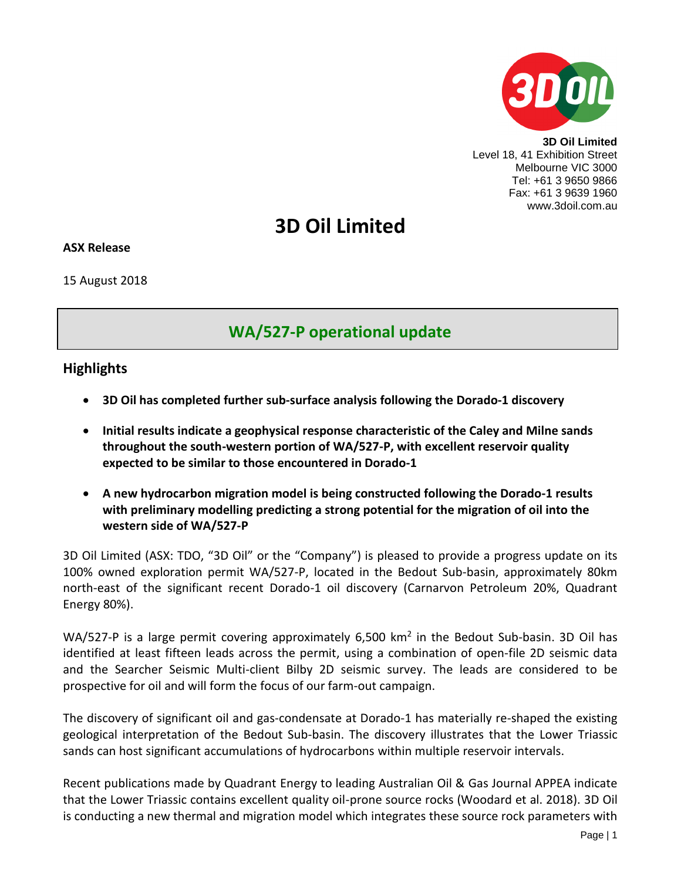

**3D Oil Limited** Level 18, 41 Exhibition Street Melbourne VIC 3000 Tel: +61 3 9650 9866 Fax: +61 3 9639 1960 www.3doil.com.au

# **3D Oil Limited**

### **ASX Release**

15 August 2018

# **WA/527-P operational update**

# **Highlights**

- **3D Oil has completed further sub-surface analysis following the Dorado-1 discovery**
- **Initial results indicate a geophysical response characteristic of the Caley and Milne sands throughout the south-western portion of WA/527-P, with excellent reservoir quality expected to be similar to those encountered in Dorado-1**
- **A new hydrocarbon migration model is being constructed following the Dorado-1 results with preliminary modelling predicting a strong potential for the migration of oil into the western side of WA/527-P**

3D Oil Limited (ASX: TDO, "3D Oil" or the "Company") is pleased to provide a progress update on its 100% owned exploration permit WA/527-P, located in the Bedout Sub-basin, approximately 80km north-east of the significant recent Dorado-1 oil discovery (Carnarvon Petroleum 20%, Quadrant Energy 80%).

WA/527-P is a large permit covering approximately 6,500  $km^2$  in the Bedout Sub-basin. 3D Oil has identified at least fifteen leads across the permit, using a combination of open-file 2D seismic data and the Searcher Seismic Multi-client Bilby 2D seismic survey. The leads are considered to be prospective for oil and will form the focus of our farm-out campaign.

The discovery of significant oil and gas-condensate at Dorado-1 has materially re-shaped the existing geological interpretation of the Bedout Sub-basin. The discovery illustrates that the Lower Triassic sands can host significant accumulations of hydrocarbons within multiple reservoir intervals.

Recent publications made by Quadrant Energy to leading Australian Oil & Gas Journal APPEA indicate that the Lower Triassic contains excellent quality oil-prone source rocks (Woodard et al. 2018). 3D Oil is conducting a new thermal and migration model which integrates these source rock parameters with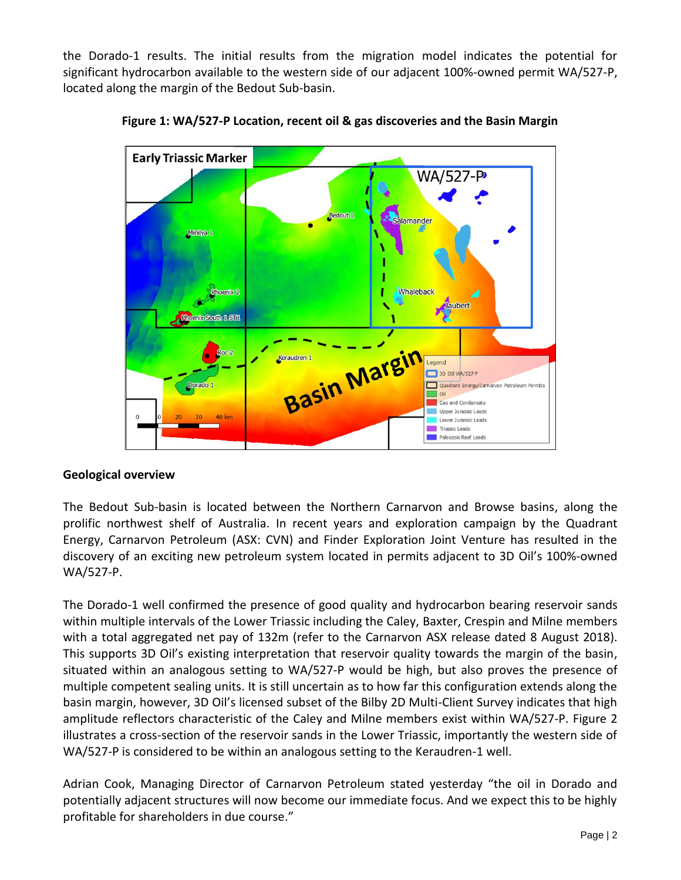the Dorado-1 results. The initial results from the migration model indicates the potential for significant hydrocarbon available to the western side of our adjacent 100%-owned permit WA/527-P, located along the margin of the Bedout Sub-basin.



**Figure 1: WA/527-P Location, recent oil & gas discoveries and the Basin Margin**

# **Geological overview**

The Bedout Sub-basin is located between the Northern Carnarvon and Browse basins, along the prolific northwest shelf of Australia. In recent years and exploration campaign by the Quadrant Energy, Carnarvon Petroleum (ASX: CVN) and Finder Exploration Joint Venture has resulted in the discovery of an exciting new petroleum system located in permits adjacent to 3D Oil's 100%-owned WA/527-P.

The Dorado-1 well confirmed the presence of good quality and hydrocarbon bearing reservoir sands within multiple intervals of the Lower Triassic including the Caley, Baxter, Crespin and Milne members with a total aggregated net pay of 132m (refer to the Carnarvon ASX release dated 8 August 2018). This supports 3D Oil's existing interpretation that reservoir quality towards the margin of the basin, situated within an analogous setting to WA/527-P would be high, but also proves the presence of multiple competent sealing units. It is still uncertain as to how far this configuration extends along the basin margin, however, 3D Oil's licensed subset of the Bilby 2D Multi-Client Survey indicates that high amplitude reflectors characteristic of the Caley and Milne members exist within WA/527-P. Figure 2 illustrates a cross-section of the reservoir sands in the Lower Triassic, importantly the western side of WA/527-P is considered to be within an analogous setting to the Keraudren-1 well.

Adrian Cook, Managing Director of Carnarvon Petroleum stated yesterday "the oil in Dorado and potentially adjacent structures will now become our immediate focus. And we expect this to be highly profitable for shareholders in due course."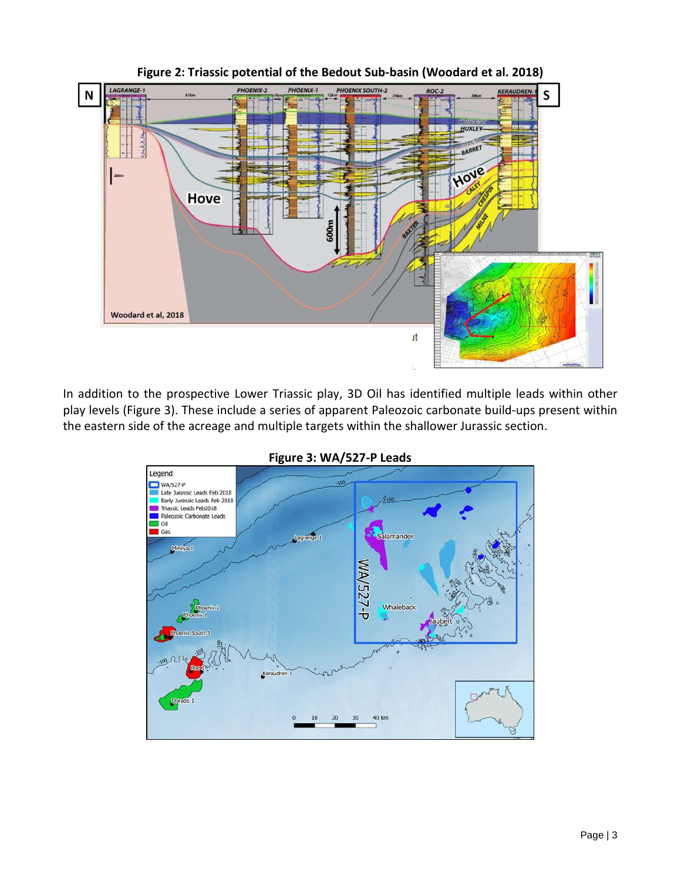

**Figure 2: Triassic potential of the Bedout Sub-basin (Woodard et al. 2018)**

In addition to the prospective Lower Triassic play, 3D Oil has identified multiple leads within other play levels (Figure 3). These include a series of apparent Paleozoic carbonate build-ups present within the eastern side of the acreage and multiple targets within the shallower Jurassic section.



**Figure 3: WA/527-P Leads**